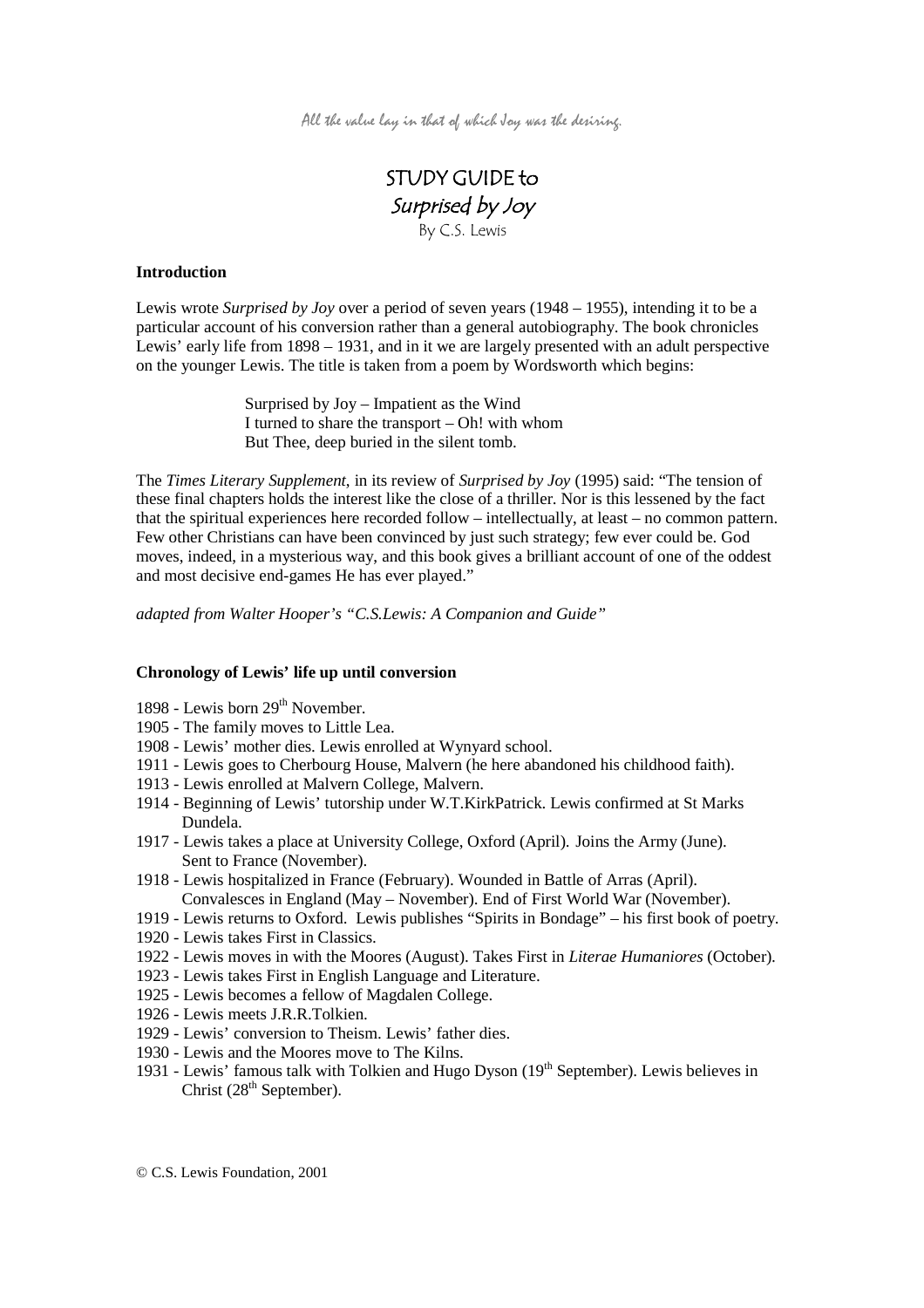All the value lay in that of which Joy was the desiring.

# STUDY GUIDE to Surprised by Joy By C.S. Lewis

## **Introduction**

Lewis wrote *Surprised by Joy* over a period of seven years (1948 – 1955), intending it to be a particular account of his conversion rather than a general autobiography. The book chronicles Lewis' early life from 1898 – 1931, and in it we are largely presented with an adult perspective on the younger Lewis. The title is taken from a poem by Wordsworth which begins:

> Surprised by Joy – Impatient as the Wind I turned to share the transport – Oh! with whom But Thee, deep buried in the silent tomb.

The *Times Literary Supplement*, in its review of *Surprised by Joy* (1995) said: "The tension of these final chapters holds the interest like the close of a thriller. Nor is this lessened by the fact that the spiritual experiences here recorded follow – intellectually, at least – no common pattern. Few other Christians can have been convinced by just such strategy; few ever could be. God moves, indeed, in a mysterious way, and this book gives a brilliant account of one of the oddest and most decisive end-games He has ever played."

*adapted from Walter Hooper's "C.S.Lewis: A Companion and Guide"*

### **Chronology of Lewis' life up until conversion**

- 1898 Lewis born  $29<sup>th</sup>$  November.
- 1905 The family moves to Little Lea.
- 1908 Lewis' mother dies. Lewis enrolled at Wynyard school.
- 1911 Lewis goes to Cherbourg House, Malvern (he here abandoned his childhood faith).
- 1913 Lewis enrolled at Malvern College, Malvern.
- 1914 Beginning of Lewis' tutorship under W.T.KirkPatrick. Lewis confirmed at St Marks Dundela.
- 1917 Lewis takes a place at University College, Oxford (April). Joins the Army (June). Sent to France (November).
- 1918 Lewis hospitalized in France (February). Wounded in Battle of Arras (April). Convalesces in England (May – November). End of First World War (November).
- 1919 Lewis returns to Oxford. Lewis publishes "Spirits in Bondage" his first book of poetry.
- 1920 Lewis takes First in Classics.
- 1922 Lewis moves in with the Moores (August). Takes First in *Literae Humaniores* (October)*.*
- 1923 Lewis takes First in English Language and Literature.
- 1925 Lewis becomes a fellow of Magdalen College.
- 1926 Lewis meets J.R.R.Tolkien.
- 1929 Lewis' conversion to Theism. Lewis' father dies.
- 1930 Lewis and the Moores move to The Kilns.
- 1931 Lewis' famous talk with Tolkien and Hugo Dyson (19th September). Lewis believes in Christ  $(28<sup>th</sup> September)$ .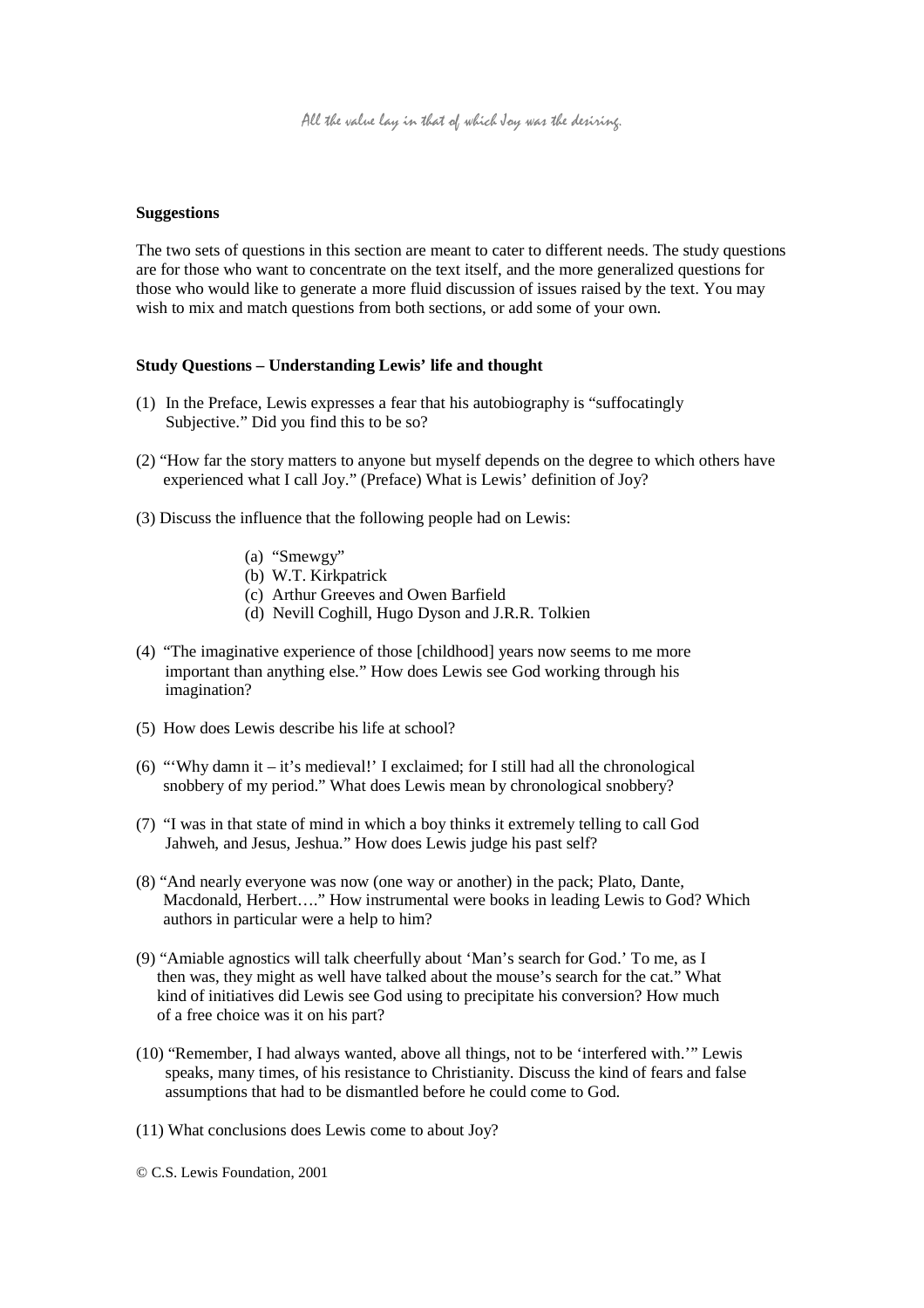#### **Suggestions**

The two sets of questions in this section are meant to cater to different needs. The study questions are for those who want to concentrate on the text itself, and the more generalized questions for those who would like to generate a more fluid discussion of issues raised by the text. You may wish to mix and match questions from both sections, or add some of your own.

#### **Study Questions – Understanding Lewis' life and thought**

- (1) In the Preface, Lewis expresses a fear that his autobiography is "suffocatingly Subjective." Did you find this to be so?
- (2) "How far the story matters to anyone but myself depends on the degree to which others have experienced what I call Joy." (Preface) What is Lewis' definition of Joy?
- (3) Discuss the influence that the following people had on Lewis:
	- (a) "Smewgy"
	- (b) W.T. Kirkpatrick
	- (c) Arthur Greeves and Owen Barfield
	- (d) Nevill Coghill, Hugo Dyson and J.R.R. Tolkien
- (4) "The imaginative experience of those [childhood] years now seems to me more important than anything else." How does Lewis see God working through his imagination?
- (5) How does Lewis describe his life at school?
- (6) "'Why damn it it's medieval!' I exclaimed; for I still had all the chronological snobbery of my period." What does Lewis mean by chronological snobbery?
- (7) "I was in that state of mind in which a boy thinks it extremely telling to call God Jahweh, and Jesus, Jeshua." How does Lewis judge his past self?
- (8) "And nearly everyone was now (one way or another) in the pack; Plato, Dante, Macdonald, Herbert…." How instrumental were books in leading Lewis to God? Which authors in particular were a help to him?
- (9) "Amiable agnostics will talk cheerfully about 'Man's search for God.' To me, as I then was, they might as well have talked about the mouse's search for the cat." What kind of initiatives did Lewis see God using to precipitate his conversion? How much of a free choice was it on his part?
- (10) "Remember, I had always wanted, above all things, not to be 'interfered with.'" Lewis speaks, many times, of his resistance to Christianity. Discuss the kind of fears and false assumptions that had to be dismantled before he could come to God.
- (11) What conclusions does Lewis come to about Joy?

© C.S. Lewis Foundation, 2001